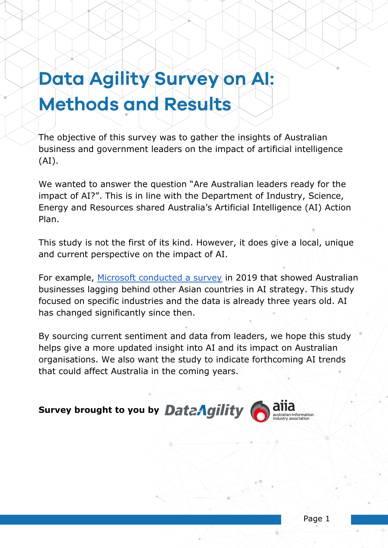# **Data Agility Survey on AI: Methods and Results**

The objective of this survey was to gather the insights of Australian business and government leaders on the impact of artificial intelligence (AI).

We wanted to answer the question "Are Australian leaders ready for the impact of AI?". This is in line with the Department of Industry, Science, Energy and Resources shared Australia's Artificial Intelligence (AI) Action Plan.

This study is not the first of its kind. However, it does give a local, unique and current perspective on the impact of AI.

For example, [Microsoft conducted a survey](https://news.microsoft.com/wp-content/uploads/prod/sites/66/2019/03/Assessing-Australias-growth-potential-through-AI-March-2019.pdf) in 2019 that showed Australian businesses lagging behind other Asian countries in AI strategy. This study focused on specific industries and the data is already three years old. AI has changed significantly since then.

By sourcing current sentiment and data from leaders, we hope this study helps give a more updated insight into AI and its impact on Australian organisations. We also want the study to indicate forthcoming AI trends that could affect Australia in the coming years.

**Survey brought to you by DateAgility** 

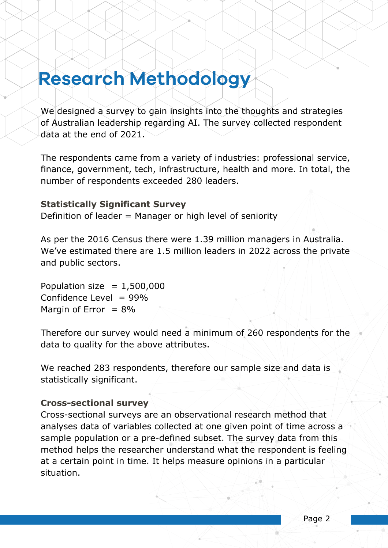## **Research Methodology**

We designed a survey to gain insights into the thoughts and strategies of Australian leadership regarding AI. The survey collected respondent data at the end of 2021.

The respondents came from a variety of industries: professional service, finance, government, tech, infrastructure, health and more. In total, the number of respondents exceeded 280 leaders.

### **Statistically Significant Survey**

Definition of leader = Manager or high level of seniority

As per the 2016 Census there were 1.39 million managers in Australia. We've estimated there are 1.5 million leaders in 2022 across the private and public sectors.

Population size  $= 1,500,000$ Confidence Level  $= 99\%$ Margin of Error  $= 8\%$ 

Therefore our survey would need a minimum of 260 respondents for the data to quality for the above attributes.

We reached 283 respondents, therefore our sample size and data is statistically significant.

### **Cross-sectional survey**

Cross-sectional surveys are an observational research method that analyses data of variables collected at one given point of time across a sample population or a pre-defined subset. The survey data from this method helps the researcher understand what the respondent is feeling at a certain point in time. It helps measure opinions in a particular situation.